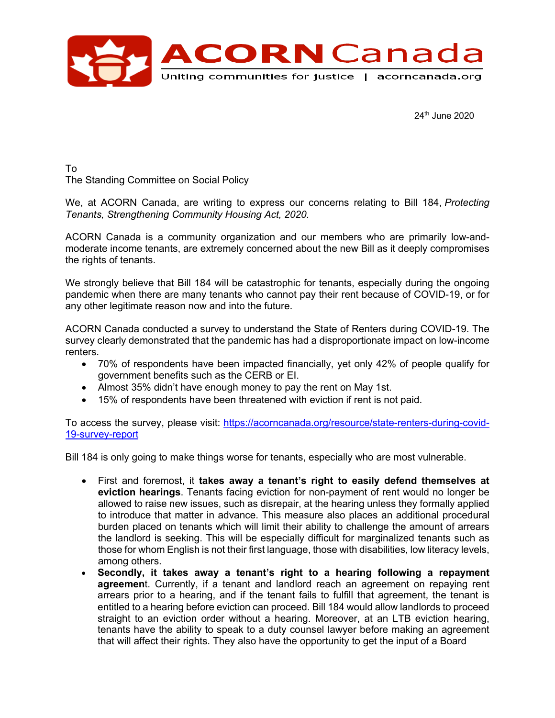

24th June 2020

To The Standing Committee on Social Policy

We, at ACORN Canada, are writing to express our concerns relating to Bill 184, *Protecting Tenants, Strengthening Community Housing Act, 2020.*

ACORN Canada is a community organization and our members who are primarily low-andmoderate income tenants, are extremely concerned about the new Bill as it deeply compromises the rights of tenants.

We strongly believe that Bill 184 will be catastrophic for tenants, especially during the ongoing pandemic when there are many tenants who cannot pay their rent because of COVID-19, or for any other legitimate reason now and into the future.

ACORN Canada conducted a survey to understand the State of Renters during COVID-19. The survey clearly demonstrated that the pandemic has had a disproportionate impact on low-income renters.

- 70% of respondents have been impacted financially, yet only 42% of people qualify for government benefits such as the CERB or EI.
- Almost 35% didn't have enough money to pay the rent on May 1st.
- 15% of respondents have been threatened with eviction if rent is not paid.

To access the survey, please visit: https://acorncanada.org/resource/state-renters-during-covid-19-survey-report

Bill 184 is only going to make things worse for tenants, especially who are most vulnerable.

- First and foremost, it **takes away a tenant's right to easily defend themselves at eviction hearings**. Tenants facing eviction for non-payment of rent would no longer be allowed to raise new issues, such as disrepair, at the hearing unless they formally applied to introduce that matter in advance. This measure also places an additional procedural burden placed on tenants which will limit their ability to challenge the amount of arrears the landlord is seeking. This will be especially difficult for marginalized tenants such as those for whom English is not their first language, those with disabilities, low literacy levels, among others.
- **Secondly, it takes away a tenant's right to a hearing following a repayment agreemen**t. Currently, if a tenant and landlord reach an agreement on repaying rent arrears prior to a hearing, and if the tenant fails to fulfill that agreement, the tenant is entitled to a hearing before eviction can proceed. Bill 184 would allow landlords to proceed straight to an eviction order without a hearing. Moreover, at an LTB eviction hearing, tenants have the ability to speak to a duty counsel lawyer before making an agreement that will affect their rights. They also have the opportunity to get the input of a Board